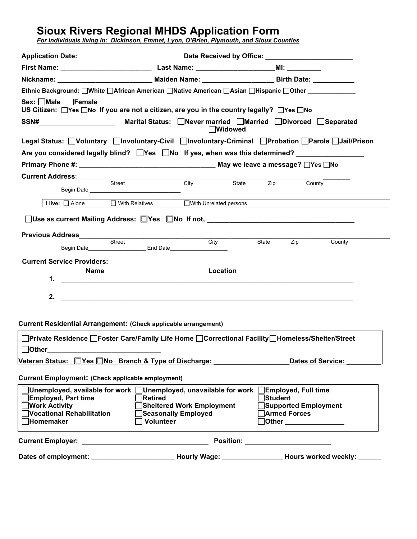# **Sioux Rivers Regional MHDS Application Form**

*For individuals living in: Dickinson, Emmet, Lyon, O'Brien, Plymouth, and Sioux Counties*

| Ethnic Background: □White □African American □Native American □Asian □Hispanic □Other □                                                          |                                                                                                    |                                  |       |                                   |                          |
|-------------------------------------------------------------------------------------------------------------------------------------------------|----------------------------------------------------------------------------------------------------|----------------------------------|-------|-----------------------------------|--------------------------|
| Sex: Male Female<br>US Citizen: $\Box$ Yes $\Box$ No If you are not a citizen, are you in the country legally? $\Box$ Yes $\Box$ No             |                                                                                                    |                                  |       |                                   |                          |
| SSN# Marital Status: □Never married □Married □Divorced □Separated                                                                               |                                                                                                    | <b>Nidowed</b>                   |       |                                   |                          |
| Legal Status: Noluntary Minvoluntary-Civil Minvoluntary-Criminal Probation Parole Jail/Prison                                                   |                                                                                                    |                                  |       |                                   |                          |
| Are you considered legally blind? Thes Tho If yes, when was this determined?                                                                    |                                                                                                    |                                  |       |                                   |                          |
|                                                                                                                                                 |                                                                                                    |                                  |       |                                   |                          |
|                                                                                                                                                 |                                                                                                    |                                  |       |                                   |                          |
|                                                                                                                                                 |                                                                                                    | City                             | State | <b>Zip</b>                        | County                   |
| I live: □ Alone                                                                                                                                 | $\overline{\Box}$ With Relatives                                                                   | With Unrelated persons           |       |                                   |                          |
|                                                                                                                                                 |                                                                                                    |                                  |       |                                   |                          |
|                                                                                                                                                 |                                                                                                    |                                  |       |                                   |                          |
| Previous Address<br>Street                                                                                                                      |                                                                                                    |                                  |       |                                   |                          |
|                                                                                                                                                 |                                                                                                    | City                             |       | State<br>Zip                      | County                   |
| <b>Current Service Providers:</b>                                                                                                               |                                                                                                    |                                  |       |                                   |                          |
| Name                                                                                                                                            |                                                                                                    | Location                         |       |                                   |                          |
| 1.                                                                                                                                              |                                                                                                    |                                  |       |                                   |                          |
| 2.                                                                                                                                              | <u> 1989 - Johann Stein, marwolaethau a chwaraeth a bhann ann an 1989. Bhann ann an 1989 an t-</u> |                                  |       |                                   |                          |
|                                                                                                                                                 |                                                                                                    |                                  |       |                                   |                          |
|                                                                                                                                                 |                                                                                                    |                                  |       |                                   |                          |
| Current Residential Arrangement: (Check applicable arrangement)                                                                                 |                                                                                                    |                                  |       |                                   |                          |
| □Private Residence □Foster Care/Family Life Home □Correctional Facility□Homeless/Shelter/Street                                                 |                                                                                                    |                                  |       |                                   |                          |
| $\Box$ Other                                                                                                                                    |                                                                                                    |                                  |       |                                   |                          |
| <u>Veteran Status: DYes DNo Branch &amp; Type of Discharge: Descreen Branch Branch Branch Branch Branch Br</u>                                  |                                                                                                    |                                  |       |                                   | <b>Dates of Service:</b> |
| Current Employment: (Check applicable employment)                                                                                               |                                                                                                    |                                  |       |                                   |                          |
| $\exists$ Unemployed, available for work $\,\,\Box$ Unemployed, unavailable for work $\,\Box$ Employed, Full time<br><b>Employed, Part time</b> | Retired                                                                                            |                                  |       | <b>Student</b>                    |                          |
| $\Box$ Work Activity                                                                                                                            |                                                                                                    | <b>Sheltered Work Employment</b> |       |                                   | Supported Employment     |
| Vocational Rehabilitation                                                                                                                       | <b>Seasonally Employed</b>                                                                         |                                  |       | <b>Armed Forces</b>               |                          |
| <b>Homemaker</b>                                                                                                                                | Volunteer                                                                                          |                                  |       |                                   |                          |
| Current Employer: __________________________________                                                                                            |                                                                                                    |                                  |       | Position: _______________________ |                          |
| Dates of employment: __________________________Hourly Wage: ________________Hours worked weekly: ____                                           |                                                                                                    |                                  |       |                                   |                          |
|                                                                                                                                                 |                                                                                                    |                                  |       |                                   |                          |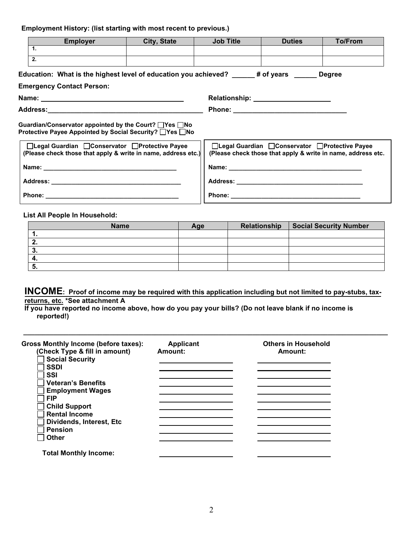# **Employment History: (list starting with most recent to previous.)**

|                                                                                                                                                                                                                                     | <b>Employer</b>                                                                                                    | City, State | <b>Job Title</b> | <b>Duties</b>                                                                                                                                                                                                                       | To/From |  |
|-------------------------------------------------------------------------------------------------------------------------------------------------------------------------------------------------------------------------------------|--------------------------------------------------------------------------------------------------------------------|-------------|------------------|-------------------------------------------------------------------------------------------------------------------------------------------------------------------------------------------------------------------------------------|---------|--|
|                                                                                                                                                                                                                                     | $\mathbf{1}$ .                                                                                                     |             |                  |                                                                                                                                                                                                                                     |         |  |
|                                                                                                                                                                                                                                     | 2.                                                                                                                 |             |                  |                                                                                                                                                                                                                                     |         |  |
|                                                                                                                                                                                                                                     | Education: What is the highest level of education you achieved? _____# of years ______ Degree                      |             |                  |                                                                                                                                                                                                                                     |         |  |
|                                                                                                                                                                                                                                     | <b>Emergency Contact Person:</b>                                                                                   |             |                  |                                                                                                                                                                                                                                     |         |  |
|                                                                                                                                                                                                                                     |                                                                                                                    |             |                  | Relationship: _________________________                                                                                                                                                                                             |         |  |
|                                                                                                                                                                                                                                     |                                                                                                                    |             |                  |                                                                                                                                                                                                                                     |         |  |
|                                                                                                                                                                                                                                     | Guardian/Conservator appointed by the Court? □Yes □No<br>Protective Payee Appointed by Social Security? □ Yes □ No |             |                  |                                                                                                                                                                                                                                     |         |  |
| □Legal Guardian □Conservator □Protective Payee<br>□Legal Guardian □ Conservator □ Protective Payee<br>(Please check those that apply & write in name, address etc.)<br>(Please check those that apply & write in name, address etc. |                                                                                                                    |             |                  |                                                                                                                                                                                                                                     |         |  |
|                                                                                                                                                                                                                                     |                                                                                                                    |             |                  | Name: Name: All and the state of the state of the state of the state of the state of the state of the state of the state of the state of the state of the state of the state of the state of the state of the state of the sta      |         |  |
|                                                                                                                                                                                                                                     |                                                                                                                    |             |                  |                                                                                                                                                                                                                                     |         |  |
|                                                                                                                                                                                                                                     |                                                                                                                    |             |                  | <b>Phone:</b> The contract of the contract of the contract of the contract of the contract of the contract of the contract of the contract of the contract of the contract of the contract of the contract of the contract of the c |         |  |

#### **List All People In Household:**

| <b>Name</b> | Age | Relationship   Social Security Number |
|-------------|-----|---------------------------------------|
|             |     |                                       |
|             |     |                                       |
| v           |     |                                       |
|             |     |                                       |
| - 53.       |     |                                       |

# **INCOME: Proof of income may be required with this application including but not limited to pay-stubs, taxreturns, etc. \*See attachment A**

**\_\_\_\_\_\_\_\_\_\_\_\_\_\_\_\_\_\_\_\_\_\_\_\_\_\_\_\_\_\_\_\_\_\_\_\_\_\_\_\_\_\_\_\_\_\_\_\_\_\_\_\_\_\_\_\_\_\_\_\_\_\_\_\_\_\_\_\_\_\_\_\_\_\_\_\_\_\_\_\_\_\_\_\_\_\_\_\_\_\_\_\_\_\_\_\_\_** 

**If you have reported no income above, how do you pay your bills? (Do not leave blank if no income is reported!)** 

| Gross Monthly Income (before taxes): | Applicant | <b>Others in Household</b> |
|--------------------------------------|-----------|----------------------------|
| (Check Type & fill in amount)        | Amount:   | Amount:                    |
| <b>Social Security</b>               |           |                            |
| <b>SSDI</b>                          |           |                            |
| SSI                                  |           |                            |
| <b>Veteran's Benefits</b>            |           |                            |
| <b>Employment Wages</b>              |           |                            |
| <b>FIP</b>                           |           |                            |
| <b>Child Support</b>                 |           |                            |
| <b>Rental Income</b>                 |           |                            |
| Dividends, Interest, Etc.            |           |                            |
| <b>Pension</b>                       |           |                            |
| <b>Other</b>                         |           |                            |
|                                      |           |                            |
| <b>Total Monthly Income:</b>         |           |                            |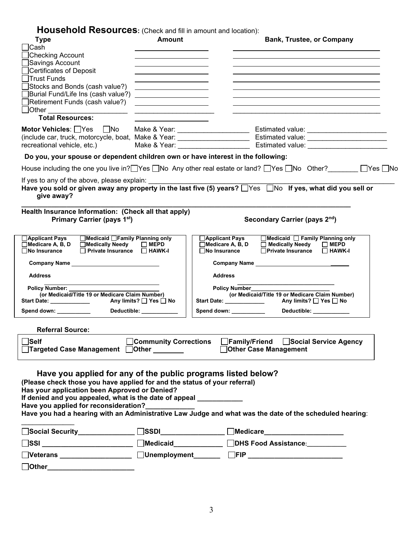**Household Resources:** (Check and fill in amount and location):

| <b>I IOUSCHOIG TWSOUI COS.</b> (CHECK AND HIL HI ANDUNI AND IOCARON).                                                                                                                       |                                                                                           |                            |                   |                                                                                |  |
|---------------------------------------------------------------------------------------------------------------------------------------------------------------------------------------------|-------------------------------------------------------------------------------------------|----------------------------|-------------------|--------------------------------------------------------------------------------|--|
| <b>Type</b><br><b>Cash</b>                                                                                                                                                                  | <b>Amount</b>                                                                             |                            |                   | <b>Bank, Trustee, or Company</b>                                               |  |
| Checking Account                                                                                                                                                                            | the control of the control of the control of the control of the control of                |                            |                   |                                                                                |  |
| Savings Account                                                                                                                                                                             |                                                                                           |                            |                   |                                                                                |  |
| Certificates of Deposit                                                                                                                                                                     |                                                                                           |                            |                   |                                                                                |  |
| <b>Trust Funds</b>                                                                                                                                                                          |                                                                                           |                            |                   |                                                                                |  |
| Stocks and Bonds (cash value?)                                                                                                                                                              | <u> 1989 - Jan Stein Stein, fransk politik (</u>                                          |                            |                   |                                                                                |  |
| Burial Fund/Life Ins (cash value?)                                                                                                                                                          | the control of the control of the control of the control of the control of the control of |                            |                   |                                                                                |  |
| Retirement Funds (cash value?)<br><b>Other</b>                                                                                                                                              |                                                                                           |                            |                   |                                                                                |  |
| <b>Total Resources:</b>                                                                                                                                                                     |                                                                                           |                            |                   |                                                                                |  |
|                                                                                                                                                                                             |                                                                                           |                            |                   |                                                                                |  |
|                                                                                                                                                                                             |                                                                                           |                            |                   |                                                                                |  |
|                                                                                                                                                                                             |                                                                                           |                            |                   |                                                                                |  |
|                                                                                                                                                                                             |                                                                                           |                            |                   |                                                                                |  |
| Do you, your spouse or dependent children own or have interest in the following:                                                                                                            |                                                                                           |                            |                   |                                                                                |  |
| House including the one you live in? Yes $\Box$ No Any other real estate or land? $\Box$ Yes $\Box$ No Other? $\Box$ Yes $\Box$ No                                                          |                                                                                           |                            |                   |                                                                                |  |
| If yes to any of the above, please explain:                                                                                                                                                 |                                                                                           |                            |                   |                                                                                |  |
| Have you sold or given away any property in the last five (5) years? Nes No If yes, what did you sell or<br>give away?                                                                      |                                                                                           |                            |                   |                                                                                |  |
| Health Insurance Information: (Check all that apply)                                                                                                                                        |                                                                                           |                            |                   |                                                                                |  |
| Primary Carrier (pays 1st)                                                                                                                                                                  |                                                                                           |                            |                   | Secondary Carrier (pays 2nd)                                                   |  |
|                                                                                                                                                                                             |                                                                                           |                            |                   |                                                                                |  |
| □Medicaid □Family Planning only<br>$\Box$ Applicant Pays                                                                                                                                    |                                                                                           | <b>∆Applicant Pays</b>     |                   | $\Box$ Medicaid $\Box$ Family Planning only                                    |  |
| □Medicare A, B, D □Medically Needy<br>$\Box$ No Insurance<br>□ Private Insurance □ HAWK-I                                                                                                   | $\Box$ MEPD                                                                               | $\Box$ No Insurance        | □Medicare A, B, D | □ Medically Needy<br>$\Box$ MEPD<br><b>□Private Insurance</b><br>$\Box$ HAWK-I |  |
|                                                                                                                                                                                             |                                                                                           |                            |                   |                                                                                |  |
| <b>Address</b>                                                                                                                                                                              |                                                                                           | <b>Address</b>             |                   |                                                                                |  |
| Policy Number: Value of Australian                                                                                                                                                          |                                                                                           |                            | Policy Number     |                                                                                |  |
| (or Medicaid/Title 19 or Medicare Claim Number)                                                                                                                                             |                                                                                           | Start Date: ______________ |                   | (or Medicaid/Title 19 or Medicare Claim Number)<br>Any limits? □ Yes □ No      |  |
|                                                                                                                                                                                             |                                                                                           |                            |                   |                                                                                |  |
| Spend down: __________                                                                                                                                                                      | Deductible: ____________                                                                  | Spend down: ___________    |                   | Deductible: ____________                                                       |  |
| <b>Referral Source:</b>                                                                                                                                                                     |                                                                                           |                            |                   |                                                                                |  |
| Self                                                                                                                                                                                        |                                                                                           |                            |                   | _Community Corrections   _Family/Friend   _Social Service Agency               |  |
| $\Box$ Targeted Case Management $\Box$ Other $\Box$                                                                                                                                         |                                                                                           |                            |                   | □Other Case Management                                                         |  |
| Have you applied for any of the public programs listed below?<br>(Please check those you have applied for and the status of your referral)<br>Has your application been Approved or Denied? |                                                                                           |                            |                   |                                                                                |  |
| If denied and you appealed, what is the date of appeal ___________                                                                                                                          |                                                                                           |                            |                   |                                                                                |  |
| Have you applied for reconsideration?                                                                                                                                                       |                                                                                           |                            |                   |                                                                                |  |
| Have you had a hearing with an Administrative Law Judge and what was the date of the scheduled hearing:                                                                                     |                                                                                           |                            |                   |                                                                                |  |
|                                                                                                                                                                                             |                                                                                           |                            |                   |                                                                                |  |
|                                                                                                                                                                                             |                                                                                           |                            |                   |                                                                                |  |
|                                                                                                                                                                                             |                                                                                           |                            |                   |                                                                                |  |
| Other______________________                                                                                                                                                                 |                                                                                           |                            |                   |                                                                                |  |
|                                                                                                                                                                                             |                                                                                           |                            |                   |                                                                                |  |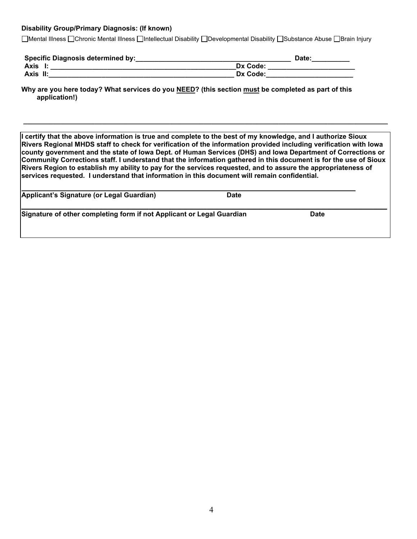#### **Disability Group/Primary Diagnosis: (If known)**

Mental Illness Chronic Mental Illness Intellectual Disability Developmental Disability Substance Abuse Brain Injury

| <b>Specific Diagnosis determined by:</b> | Date:    |
|------------------------------------------|----------|
| Axis                                     | Dx Code: |
| Axis II:                                 | Dx Code: |

**Why are you here today? What services do you NEED? (this section must be completed as part of this application!)** 

**I certify that the above information is true and complete to the best of my knowledge, and I authorize Sioux Rivers Regional MHDS staff to check for verification of the information provided including verification with Iowa county government and the state of Iowa Dept. of Human Services (DHS) and Iowa Department of Corrections or Community Corrections staff. I understand that the information gathered in this document is for the use of Sioux Rivers Region to establish my ability to pay for the services requested, and to assure the appropriateness of services requested. I understand that information in this document will remain confidential.**

**\_\_\_\_\_\_\_\_\_\_\_\_\_\_\_\_\_\_\_\_\_\_\_\_\_\_\_\_\_\_\_\_\_\_\_\_\_\_\_\_\_\_\_\_\_\_\_\_\_\_\_\_\_\_\_\_\_\_\_\_\_\_\_\_\_\_\_\_\_\_\_\_\_\_\_\_\_\_\_\_\_\_\_\_\_\_\_\_\_\_\_\_\_\_\_\_\_** 

| Applicant's Signature (or Legal Guardian)                             | <b>Date</b> |             |  |
|-----------------------------------------------------------------------|-------------|-------------|--|
| Signature of other completing form if not Applicant or Legal Guardian |             | <b>Date</b> |  |
|                                                                       |             |             |  |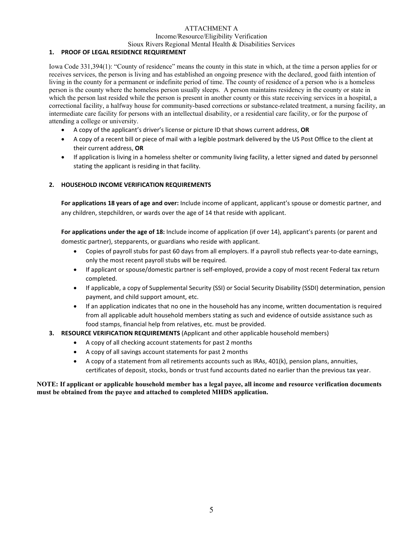### ATTACHMENT A

Income/Resource/Eligibility Verification

#### Sioux Rivers Regional Mental Health & Disabilities Services

### **1. PROOF OF LEGAL RESIDENCE REQUIREMENT**

Iowa Code 331,394(1): "County of residence" means the county in this state in which, at the time a person applies for or receives services, the person is living and has established an ongoing presence with the declared, good faith intention of living in the county for a permanent or indefinite period of time. The county of residence of a person who is a homeless person is the county where the homeless person usually sleeps. A person maintains residency in the county or state in which the person last resided while the person is present in another county or this state receiving services in a hospital, a correctional facility, a halfway house for community-based corrections or substance-related treatment, a nursing facility, an intermediate care facility for persons with an intellectual disability, or a residential care facility, or for the purpose of attending a college or university.

- A copy of the applicant's driver's license or picture ID that shows current address, **OR**
- A copy of a recent bill or piece of mail with a legible postmark delivered by the US Post Office to the client at their current address, **OR**
- If application is living in a homeless shelter or community living facility, a letter signed and dated by personnel stating the applicant is residing in that facility.

### **2. HOUSEHOLD INCOME VERIFICATION REQUIREMENTS**

**For applications 18 years of age and over:** Include income of applicant, applicant's spouse or domestic partner, and any children, stepchildren, or wards over the age of 14 that reside with applicant.

**For applications under the age of 18:** Include income of application (if over 14), applicant's parents (or parent and domestic partner), stepparents, or guardians who reside with applicant.

- Copies of payroll stubs for past 60 days from all employers. If a payroll stub reflects year-to-date earnings, only the most recent payroll stubs will be required.
- If applicant or spouse/domestic partner is self-employed, provide a copy of most recent Federal tax return completed.
- If applicable, a copy of Supplemental Security (SSI) or Social Security Disability (SSDI) determination, pension payment, and child support amount, etc.
- If an application indicates that no one in the household has any income, written documentation is required from all applicable adult household members stating as such and evidence of outside assistance such as food stamps, financial help from relatives, etc. must be provided.
- **3. RESOURCE VERIFICATION REQUIREMENTS** (Applicant and other applicable household members)
	- A copy of all checking account statements for past 2 months
	- A copy of all savings account statements for past 2 months
	- A copy of a statement from all retirements accounts such as IRAs, 401(k), pension plans, annuities, certificates of deposit, stocks, bonds or trust fund accounts dated no earlier than the previous tax year.

#### **NOTE: If applicant or applicable household member has a legal payee, all income and resource verification documents must be obtained from the payee and attached to completed MHDS application.**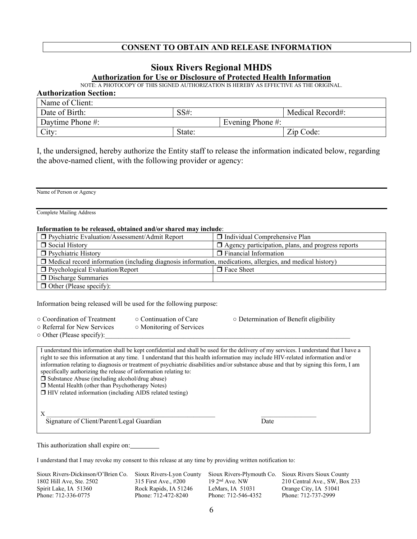# **CONSENT TO OBTAIN AND RELEASE INFORMATION**

# **Sioux Rivers Regional MHDS**

#### **Authorization for Use or Disclosure of Protected Health Information**

NOTE: A PHOTOCOPY OF THIS SIGNED AUTHORIZATION IS HEREBY AS EFFECTIVE AS THE ORIGINAL.

| <b>Authorization Section:</b> |        |                      |                  |
|-------------------------------|--------|----------------------|------------------|
| Name of Client:               |        |                      |                  |
| Date of Birth:                | SS#    |                      | Medical Record#: |
| Daytime Phone #:              |        | Evening Phone $\#$ : |                  |
| City:                         | State: |                      | Zip Code:        |

I, the undersigned, hereby authorize the Entity staff to release the information indicated below, regarding the above-named client, with the following provider or agency:

Name of Person or Agency

Complete Mailing Address

#### **Information to be released, obtained and/or shared may include**:

| $\Box$ Psychiatric Evaluation/Assessment/Admit Report                                                            | $\Box$ Individual Comprehensive Plan                     |
|------------------------------------------------------------------------------------------------------------------|----------------------------------------------------------|
| Social History                                                                                                   | $\Box$ Agency participation, plans, and progress reports |
| <b>D</b> Psychiatric History                                                                                     | $\Box$ Financial Information                             |
| $\Box$ Medical record information (including diagnosis information, medications, allergies, and medical history) |                                                          |
| $\Box$ Psychological Evaluation/Report                                                                           | $\Box$ Face Sheet                                        |
| $\Box$ Discharge Summaries                                                                                       |                                                          |
| $\Box$ Other (Please specify):                                                                                   |                                                          |

Information being released will be used for the following purpose:

- 
- Referral for New Services Monitoring of Services
- $\circ$  Other (Please specify):
- Coordination of Treatment Continuation of Care Determination of Benefit eligibility

I understand this information shall be kept confidential and shall be used for the delivery of my services. I understand that I have a right to see this information at any time. I understand that this health information may include HIV-related information and/or information relating to diagnosis or treatment of psychiatric disabilities and/or substance abuse and that by signing this form, I am specifically authorizing the release of information relating to:  $\square$  Substance Abuse (including alcohol/drug abuse) Mental Health (other than Psychotherapy Notes)  $\Box$  HIV related information (including AIDS related testing)  $X \longrightarrow \mathbb{R}$ 

Signature of Client/Parent/Legal Guardian Date

This authorization shall expire on:

I understand that I may revoke my consent to this release at any time by providing written notification to:

Sioux Rivers-Dickinson/O'Brien Co. Sioux Rivers-Lyon County Sioux Rivers-Plymouth Co. Sioux Rivers Sioux County 1802 Hill Ave. Ste. 2502 315 First Ave., #200 19 2<sup>nd</sup> Ave. NW 210 Central Ave., SW, Box 1802 Hill Ave, Ste. 2502 315 First Ave., #200 19 2<sup>nd</sup> Ave. NW 210 Central Ave., SW, Box 233 Spirit Lake, IA 51360 Rock Rapids, IA 51246 LeMars, IA 51031 Orange City, IA 51041 Phone: 712-336-0775 Phone: 712-472-8240 Phone: 712-546-4352 Phone: 712-737-2999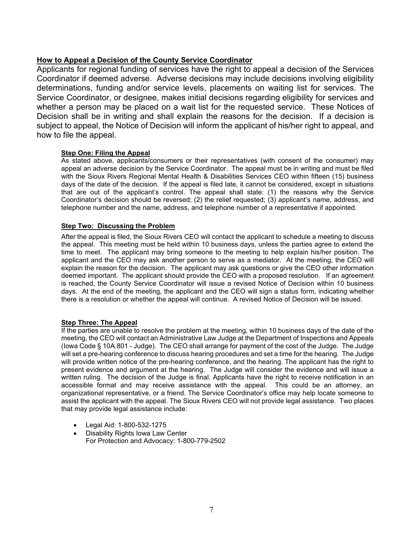# **How to Appeal a Decision of the County Service Coordinator**

Applicants for regional funding of services have the right to appeal a decision of the Services Coordinator if deemed adverse. Adverse decisions may include decisions involving eligibility determinations, funding and/or service levels, placements on waiting list for services. The Service Coordinator, or designee, makes initial decisions regarding eligibility for services and whether a person may be placed on a wait list for the requested service. These Notices of Decision shall be in writing and shall explain the reasons for the decision. If a decision is subject to appeal, the Notice of Decision will inform the applicant of his/her right to appeal, and how to file the appeal.

### **Step One: Filing the Appeal**

As stated above, applicants/consumers or their representatives (with consent of the consumer) may appeal an adverse decision by the Service Coordinator. The appeal must be in writing and must be filed with the Sioux Rivers Regional Mental Health & Disabilities Services CEO within fifteen (15) business days of the date of the decision. If the appeal is filed late, it cannot be considered, except in situations that are out of the applicant's control. The appeal shall state: (1) the reasons why the Service Coordinator's decision should be reversed; (2) the relief requested; (3) applicant's name, address, and telephone number and the name, address, and telephone number of a representative if appointed.

### **Step Two: Discussing the Problem**

After the appeal is filed, the Sioux Rivers CEO will contact the applicant to schedule a meeting to discuss the appeal. This meeting must be held within 10 business days, unless the parties agree to extend the time to meet. The applicant may bring someone to the meeting to help explain his/her position. The applicant and the CEO may ask another person to serve as a mediator. At the meeting, the CEO will explain the reason for the decision. The applicant may ask questions or give the CEO other information deemed important. The applicant should provide the CEO with a proposed resolution. If an agreement is reached, the County Service Coordinator will issue a revised Notice of Decision within 10 business days. At the end of the meeting, the applicant and the CEO will sign a status form, indicating whether there is a resolution or whether the appeal will continue. A revised Notice of Decision will be issued.

### **Step Three: The Appeal**

If the parties are unable to resolve the problem at the meeting, within 10 business days of the date of the meeting, the CEO will contact an Administrative Law Judge at the Department of Inspections and Appeals (Iowa Code § 10A.801 - Judge). The CEO shall arrange for payment of the cost of the Judge. The Judge will set a pre-hearing conference to discuss hearing procedures and set a time for the hearing. The Judge will provide written notice of the pre-hearing conference, and the hearing. The applicant has the right to present evidence and argument at the hearing. The Judge will consider the evidence and will issue a written ruling. The decision of the Judge is final. Applicants have the right to receive notification in an accessible format and may receive assistance with the appeal. This could be an attorney, an organizational representative, or a friend. The Service Coordinator's office may help locate someone to assist the applicant with the appeal. The Sioux Rivers CEO will not provide legal assistance. Two places that may provide legal assistance include:

- Legal Aid: 1-800-532-1275
- Disability Rights Iowa Law Center For Protection and Advocacy: 1-800-779-2502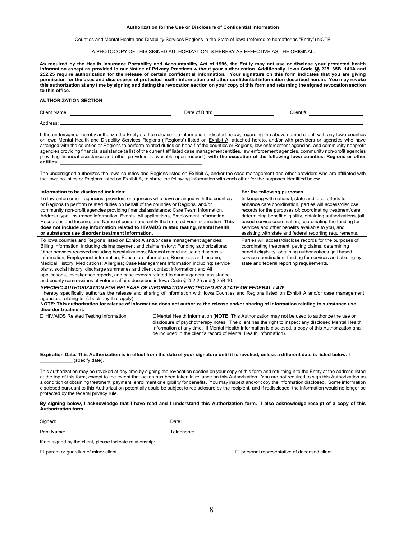#### **Authorization for the Use or Disclosure of Confidential Information**

Counties and Mental Health and Disability Services Regions in the State of Iowa (referred to hereafter as "Entity") NOTE:

A PHOTOCOPY OF THIS SIGNED AUTHORIZATION IS HEREBY AS EFFECTIVE AS THE ORIGINAL.

**As required by the Health Insurance Portability and Accountability Act of 1996, the Entity may not use or disclose your protected health**  information except as provided in our Notice of Privacy Practices without your authorization. Additionally, lowa Code §§ 228, 35B, 141A and<br>252.25 require authorization for the release of certain confidential information. **permission for the uses and disclosures of protected health information and other confidential information described herein. You may revoke this authorization at any time by signing and dating the revocation section on your copy of this form and returning the signed revocation section to this office.** 

#### **AUTHORIZATION SECTION**

| <b>Client Name:</b> | Date of Birth: | $\cap$ lient #. |
|---------------------|----------------|-----------------|
| Address:            |                |                 |

I, the undersigned, hereby authorize the Entity staff to release the information indicated below, regarding the above named client, with any Iowa counties or Iowa Mental Health and Disability Services Regions ("Regions") listed on Exhibit A, attached hereto, and/or with providers or agencies who have arranged with the counties or Regions to perform related duties on behalf of the counties or Regions, law enforcement agencies, and community nonprofit agencies providing financial assistance (a list of the current affiliated case management entities, law enforcement agencies, community non-profit agencies providing financial assistance and other providers is available upon request), **with the exception of the following Iowa counties, Regions or other entities: \_\_\_\_\_\_\_\_\_\_\_\_\_\_\_\_\_\_\_\_\_\_\_\_\_\_\_\_\_\_\_\_\_\_\_\_\_\_\_\_\_\_\_\_\_\_\_\_\_\_\_\_\_.** 

The undersigned authorizes the Iowa counties and Regions listed on Exhibit A, and/or the case management and other providers who are affiliated with the Iowa counties or Regions listed on Exhibit A, to share the following information with each other for the purposes identified below.

| Information to be disclosed includes:                                                                                                                                                                                                                                                                                                                                                                                                                                                                                                                                                                                                                                                                                                   | For the following purposes:                                                                                                                                                                                                                                                                                                                                                                                                  |  |  |
|-----------------------------------------------------------------------------------------------------------------------------------------------------------------------------------------------------------------------------------------------------------------------------------------------------------------------------------------------------------------------------------------------------------------------------------------------------------------------------------------------------------------------------------------------------------------------------------------------------------------------------------------------------------------------------------------------------------------------------------------|------------------------------------------------------------------------------------------------------------------------------------------------------------------------------------------------------------------------------------------------------------------------------------------------------------------------------------------------------------------------------------------------------------------------------|--|--|
| To law enforcement agencies, providers or agencies who have arranged with the counties<br>or Regions to perform related duties on behalf of the counties or Regions, and/or<br>community non-profit agencies providing financial assistance: Care Team information,<br>Address type, Insurance information, Events, All applications, Employment information,<br>Resources and Income, and Name of person and entity that entered your information. This<br>does not include any information related to HIV/AIDS related testing, mental health,<br>or substance use disorder treatment information.                                                                                                                                    | In keeping with national, state and local efforts to<br>enhance care coordination, parties will access/disclose<br>records for the purposes of: coordinating treatment/care,<br>determining benefit eligibility, obtaining authorizations, jail<br>based service coordination, coordinating the funding for<br>services and other benefits available to you, and<br>assisting with state and federal reporting requirements. |  |  |
| To lowa counties and Regions listed on Exhibit A and/or case management agencies:<br>Billing information, including claims payment and claims history; Funding authorizations;<br>Other services received including hospitalizations; Medical record including diagnosis<br>information; Employment information; Education information; Resources and income;<br>Medical History; Medications; Allergies; Case Management Information including: service<br>plans, social history, discharge summaries and client contact information; and All<br>applications, investigation reports, and case records related to county general assistance<br>and county commissions of veteran affairs described in lowa Code § 252.25 and § 35B.10. | Parties will access/disclose records for the purposes of:<br>coordinating treatment, paying claims, determining<br>benefit eligibility, obtaining authorizations, jail based<br>service coordination, funding for services and abiding by<br>state and federal reporting requirements.                                                                                                                                       |  |  |
| SPECIFIC AUTHORIZATION FOR RELEASE OF INFORMATION PROTECTED BY STATE OR FEDERAL LAW<br>hereby specifically authorize the release and sharing of information with Iowa Counties and Regions listed on Exhibit A and/or case management                                                                                                                                                                                                                                                                                                                                                                                                                                                                                                   |                                                                                                                                                                                                                                                                                                                                                                                                                              |  |  |

agencies, relating to: (check any that apply)

#### **NOTE: This authorization for release of information does not authorize the release and/or sharing of information relating to substance use disorder treatment.**

☐ HIV/AIDS Related Testing Information ☐Mental Health Information (**NOTE**: This Authorization may not be used to authorize the use or disclosure of psychotherapy notes. The client has the right to inspect any disclosed Mental Health Information at any time. If Mental Health Information is disclosed, a copy of this Authorization shall be included in the client's record of Mental Health Information).

#### **Expiration Date. This Authorization is in effect from the date of your signature until it is revoked, unless a different date is listed below:** ☐ \_\_\_\_\_\_\_\_\_\_\_\_ (specify date).

This authorization may be revoked at any time by signing the revocation section on your copy of this form and returning it to the Entity at the address listed at the top of this form, except to the extent that action has been taken in reliance on this Authorization. You are not required to sign this Authorization as a condition of obtaining treatment, payment, enrollment or eligibility for benefits. You may inspect and/or copy the information disclosed. Some information disclosed pursuant to this Authorization potentially could be subject to redisclosure by the recipient, and if redisclosed, the information would no longer be protected by the federal privacy rule.

**By signing below, I acknowledge that I have read and I understand this Authorization form. I also acknowledge receipt of a copy of this Authorization form**.

Signed: Date:

| 10.70<br>uw. |  |  |
|--------------|--|--|
|              |  |  |

Print Name: Telephone:

If not signed by the client, please indicate relationship:

☐ parent or guardian of minor client ☐ personal representative of deceased client